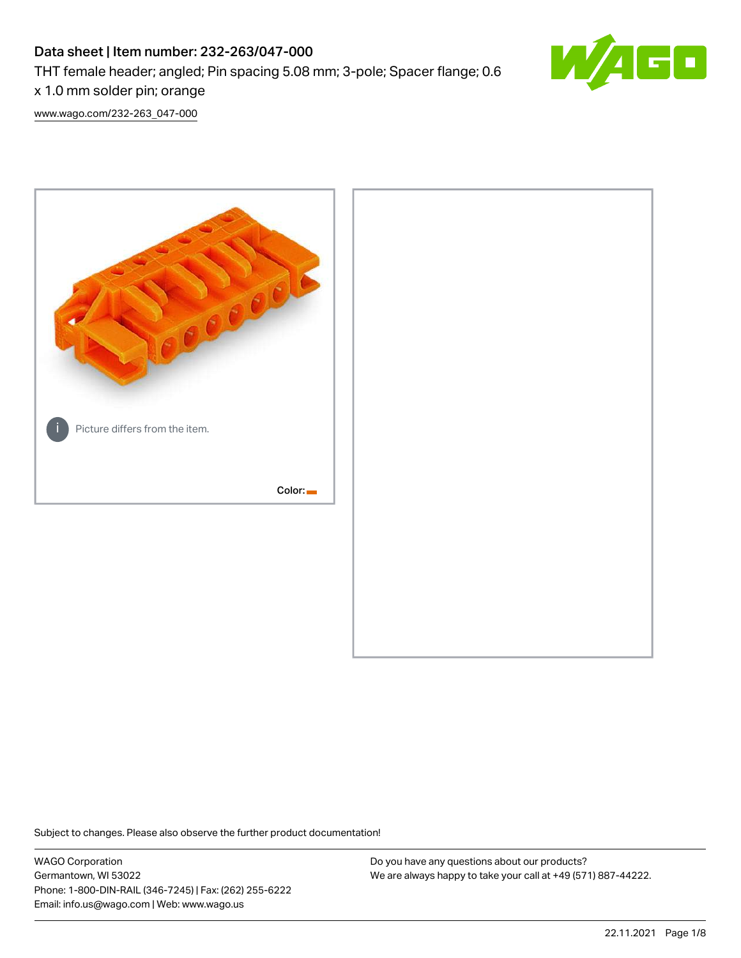# Data sheet | Item number: 232-263/047-000

THT female header; angled; Pin spacing 5.08 mm; 3-pole; Spacer flange; 0.6

x 1.0 mm solder pin; orange

[www.wago.com/232-263\\_047-000](http://www.wago.com/232-263_047-000)



Subject to changes. Please also observe the further product documentation!

WAGO Corporation Germantown, WI 53022 Phone: 1-800-DIN-RAIL (346-7245) | Fax: (262) 255-6222 Email: info.us@wago.com | Web: www.wago.us

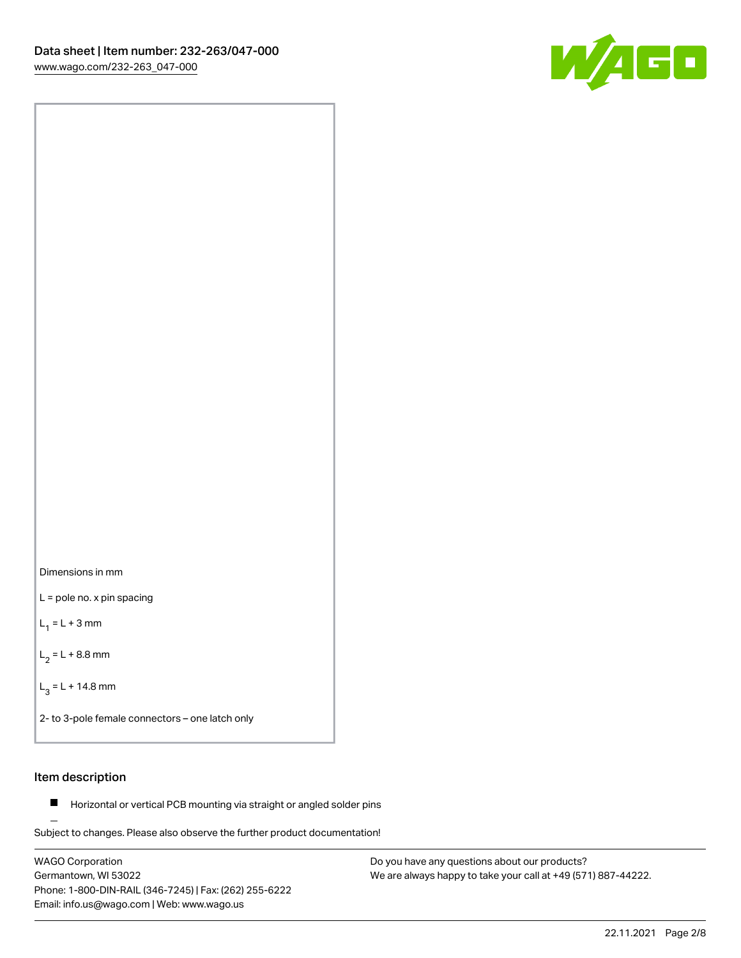

Dimensions in mm

L = pole no. x pin spacing

 $L_1 = L + 3$  mm

 $L_2 = L + 8.8$  mm

 $L_3 = L + 14.8$  mm

2- to 3-pole female connectors – one latch only

# Item description

**Horizontal or vertical PCB mounting via straight or angled solder pins** 

Subject to changes. Please also observe the further product documentation! For board-to-board and board-to-wire connections

WAGO Corporation Germantown, WI 53022 Phone: 1-800-DIN-RAIL (346-7245) | Fax: (262) 255-6222 Email: info.us@wago.com | Web: www.wago.us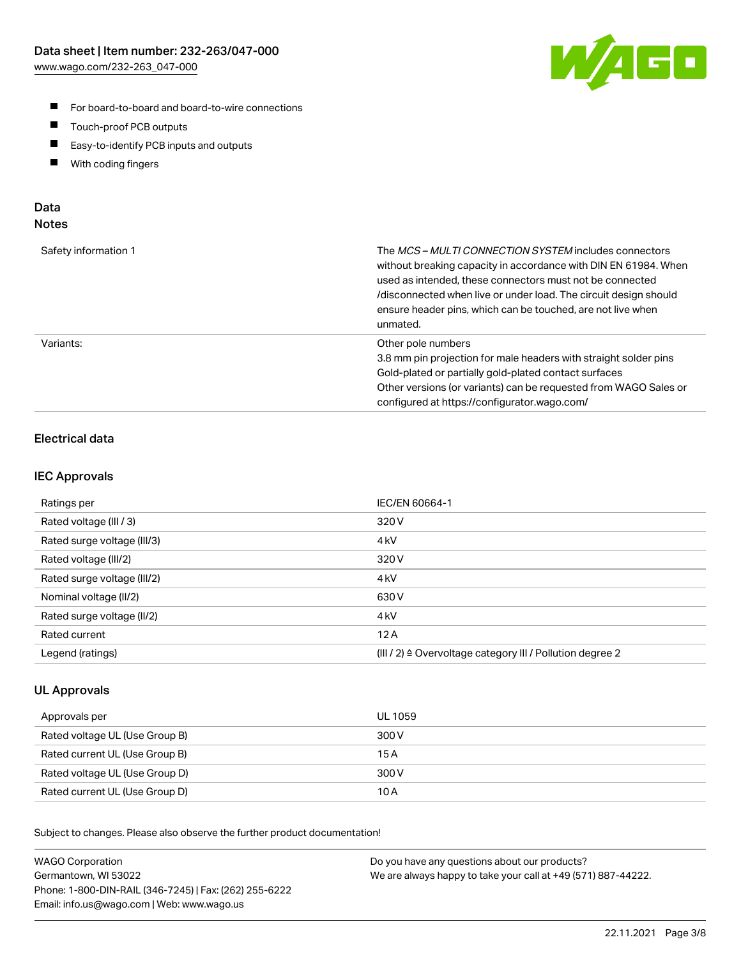

- For board-to-board and board-to-wire connections
- $\blacksquare$ Touch-proof PCB outputs
- $\blacksquare$ Easy-to-identify PCB inputs and outputs
- $\blacksquare$ With coding fingers

# Data **Notes**

| Safety information 1 | The <i>MCS – MULTI CONNECTION SYSTEM</i> includes connectors<br>without breaking capacity in accordance with DIN EN 61984. When<br>used as intended, these connectors must not be connected<br>/disconnected when live or under load. The circuit design should<br>ensure header pins, which can be touched, are not live when<br>unmated. |
|----------------------|--------------------------------------------------------------------------------------------------------------------------------------------------------------------------------------------------------------------------------------------------------------------------------------------------------------------------------------------|
| Variants:            | Other pole numbers<br>3.8 mm pin projection for male headers with straight solder pins<br>Gold-plated or partially gold-plated contact surfaces<br>Other versions (or variants) can be requested from WAGO Sales or<br>configured at https://configurator.wago.com/                                                                        |

# Electrical data

### IEC Approvals

| Ratings per                 | IEC/EN 60664-1                                                        |
|-----------------------------|-----------------------------------------------------------------------|
| Rated voltage (III / 3)     | 320 V                                                                 |
| Rated surge voltage (III/3) | 4 <sub>k</sub> V                                                      |
| Rated voltage (III/2)       | 320 V                                                                 |
| Rated surge voltage (III/2) | 4 <sub>k</sub> V                                                      |
| Nominal voltage (II/2)      | 630 V                                                                 |
| Rated surge voltage (II/2)  | 4 <sub>kV</sub>                                                       |
| Rated current               | 12A                                                                   |
| Legend (ratings)            | $(III / 2)$ $\triangle$ Overvoltage category III / Pollution degree 2 |

### UL Approvals

| Approvals per                  | UL 1059 |
|--------------------------------|---------|
| Rated voltage UL (Use Group B) | 300 V   |
| Rated current UL (Use Group B) | 15 A    |
| Rated voltage UL (Use Group D) | 300 V   |
| Rated current UL (Use Group D) | 10 A    |

Subject to changes. Please also observe the further product documentation!

| <b>WAGO Corporation</b>                                | Do you have any questions about our products?                 |
|--------------------------------------------------------|---------------------------------------------------------------|
| Germantown, WI 53022                                   | We are always happy to take your call at +49 (571) 887-44222. |
| Phone: 1-800-DIN-RAIL (346-7245)   Fax: (262) 255-6222 |                                                               |
| Email: info.us@wago.com   Web: www.wago.us             |                                                               |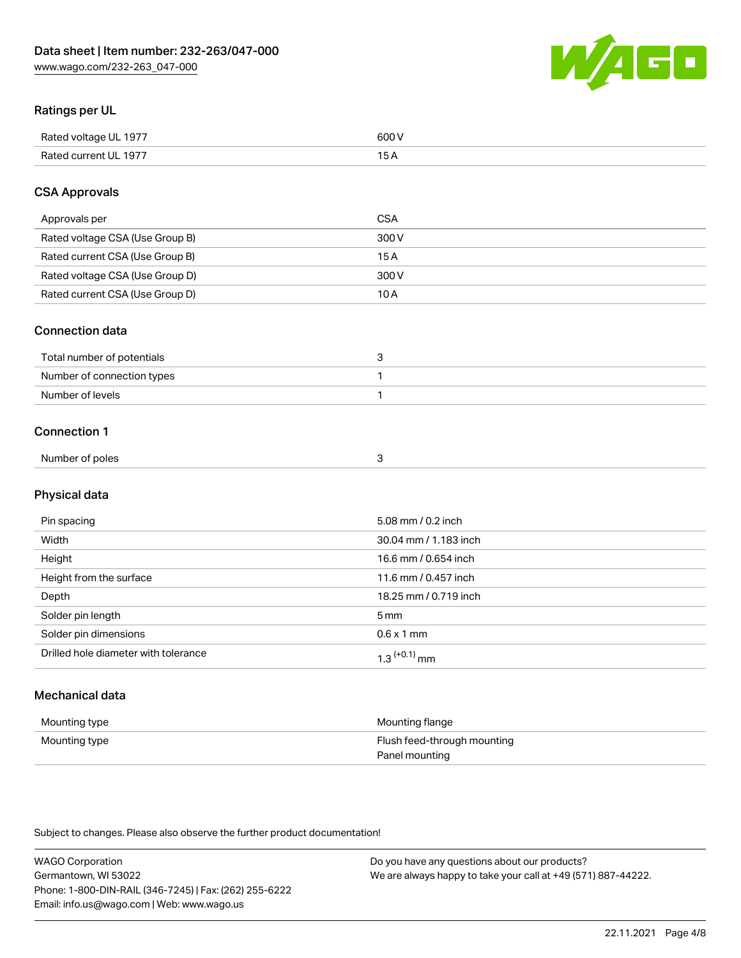

# Ratings per UL

| Rated voltage UL 1977 | 600   |
|-----------------------|-------|
| Rated current UL 1977 | . O F |

# CSA Approvals

| Approvals per                   | CSA   |
|---------------------------------|-------|
| Rated voltage CSA (Use Group B) | 300 V |
| Rated current CSA (Use Group B) | 15 A  |
| Rated voltage CSA (Use Group D) | 300 V |
| Rated current CSA (Use Group D) | 10 A  |

### Connection data

| Total number of potentials |  |
|----------------------------|--|
| Number of connection types |  |
| Number of levels           |  |

### Connection 1

| Number of poles |  |
|-----------------|--|

# Physical data

| Pin spacing                          | 5.08 mm / 0.2 inch    |
|--------------------------------------|-----------------------|
| Width                                | 30.04 mm / 1.183 inch |
| Height                               | 16.6 mm / 0.654 inch  |
| Height from the surface              | 11.6 mm / 0.457 inch  |
| Depth                                | 18.25 mm / 0.719 inch |
| Solder pin length                    | 5 <sub>mm</sub>       |
| Solder pin dimensions                | $0.6 \times 1$ mm     |
| Drilled hole diameter with tolerance | $1.3$ $(+0.1)$ mm     |

# Mechanical data

| Mounting type | Mounting flange             |
|---------------|-----------------------------|
| Mounting type | Flush feed-through mounting |
|               | Panel mounting              |

Subject to changes. Please also observe the further product documentation!

| <b>WAGO Corporation</b>                                | Do you have any questions about our products?                 |
|--------------------------------------------------------|---------------------------------------------------------------|
| Germantown, WI 53022                                   | We are always happy to take your call at +49 (571) 887-44222. |
| Phone: 1-800-DIN-RAIL (346-7245)   Fax: (262) 255-6222 |                                                               |
| Email: info.us@wago.com   Web: www.wago.us             |                                                               |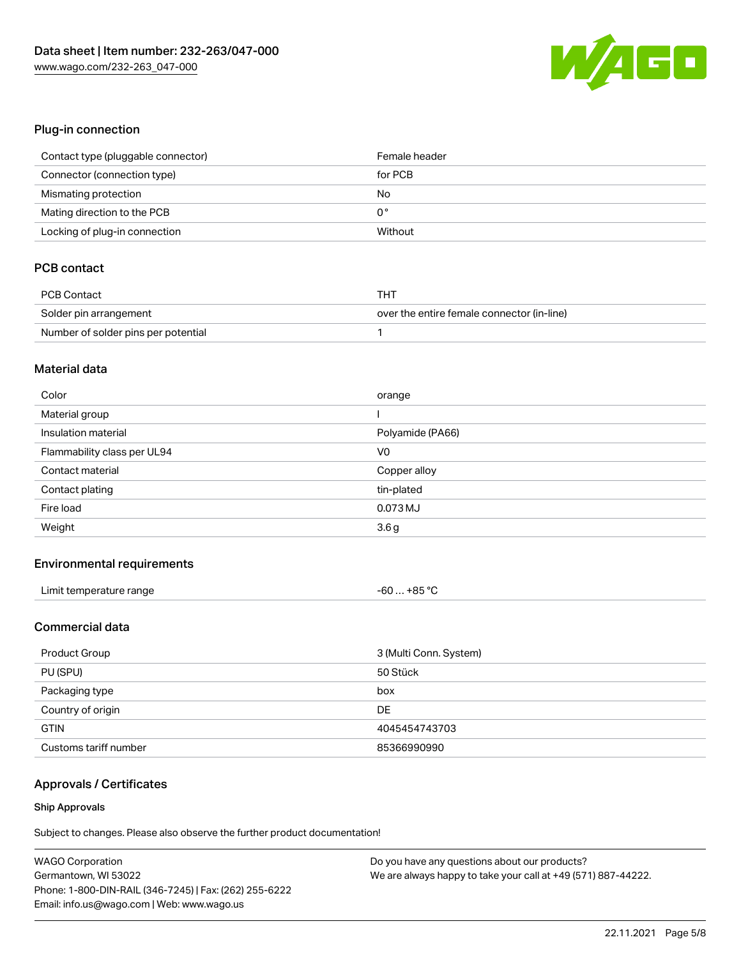

# Plug-in connection

| Contact type (pluggable connector) | Female header |
|------------------------------------|---------------|
| Connector (connection type)        | for PCB       |
| Mismating protection               | No            |
| Mating direction to the PCB        | 0°            |
| Locking of plug-in connection      | Without       |

# PCB contact

| <b>PCB Contact</b>                  | THT                                        |
|-------------------------------------|--------------------------------------------|
| Solder pin arrangement              | over the entire female connector (in-line) |
| Number of solder pins per potential |                                            |

#### Material data

| Color                       | orange           |
|-----------------------------|------------------|
| Material group              |                  |
| Insulation material         | Polyamide (PA66) |
| Flammability class per UL94 | V <sub>0</sub>   |
| Contact material            | Copper alloy     |
| Contact plating             | tin-plated       |
|                             |                  |
| Fire load                   | 0.073 MJ         |

### Environmental requirements

| Limit temperature range | $-60+85 °C$ |
|-------------------------|-------------|
|-------------------------|-------------|

# Commercial data

| Product Group         | 3 (Multi Conn. System) |
|-----------------------|------------------------|
| PU (SPU)              | 50 Stück               |
| Packaging type        | box                    |
| Country of origin     | DE                     |
| <b>GTIN</b>           | 4045454743703          |
| Customs tariff number | 85366990990            |

### Approvals / Certificates

#### Ship Approvals

Subject to changes. Please also observe the further product documentation!

| <b>WAGO Corporation</b>                                | Do you have any questions about our products?                 |
|--------------------------------------------------------|---------------------------------------------------------------|
| Germantown, WI 53022                                   | We are always happy to take your call at +49 (571) 887-44222. |
| Phone: 1-800-DIN-RAIL (346-7245)   Fax: (262) 255-6222 |                                                               |
| Email: info.us@wago.com   Web: www.wago.us             |                                                               |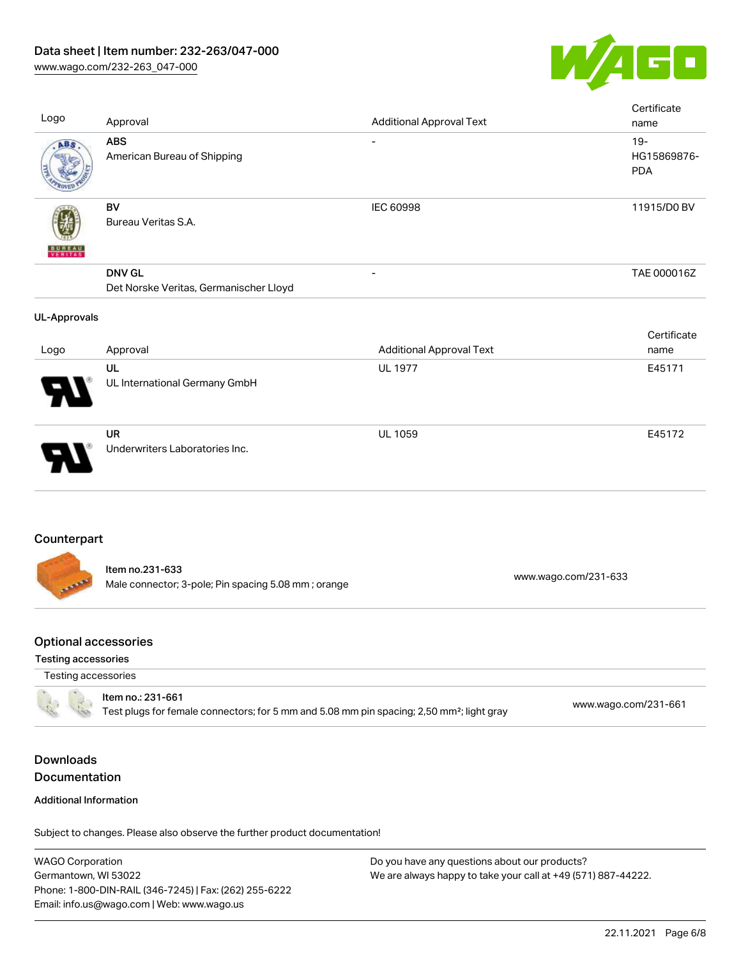

[www.wago.com/232-263\\_047-000](http://www.wago.com/232-263_047-000)

| Logo                                                      | Approval                                                                                                                   | <b>Additional Approval Text</b> |                      | Certificate<br>name                 |
|-----------------------------------------------------------|----------------------------------------------------------------------------------------------------------------------------|---------------------------------|----------------------|-------------------------------------|
| ABS                                                       | <b>ABS</b><br>American Bureau of Shipping                                                                                  | $\overline{\phantom{0}}$        |                      | $19 -$<br>HG15869876-<br><b>PDA</b> |
|                                                           | BV<br>Bureau Veritas S.A.                                                                                                  | <b>IEC 60998</b>                |                      | 11915/D0 BV                         |
|                                                           | <b>DNV GL</b><br>Det Norske Veritas, Germanischer Lloyd                                                                    |                                 |                      | TAE 000016Z                         |
| <b>UL-Approvals</b>                                       |                                                                                                                            |                                 |                      | Certificate                         |
| Logo                                                      | Approval                                                                                                                   | <b>Additional Approval Text</b> |                      | name                                |
|                                                           | UL<br>UL International Germany GmbH                                                                                        | <b>UL 1977</b>                  |                      | E45171                              |
|                                                           | <b>UR</b><br>Underwriters Laboratories Inc.                                                                                | UL 1059                         |                      | E45172                              |
| Counterpart                                               |                                                                                                                            |                                 |                      |                                     |
|                                                           | Item no.231-633<br>Male connector; 3-pole; Pin spacing 5.08 mm; orange                                                     |                                 | www.wago.com/231-633 |                                     |
| <b>Optional accessories</b><br><b>Testing accessories</b> |                                                                                                                            |                                 |                      |                                     |
| Testing accessories                                       |                                                                                                                            |                                 |                      |                                     |
|                                                           | Item no.: 231-661<br>Test plugs for female connectors; for 5 mm and 5.08 mm pin spacing; 2,50 mm <sup>2</sup> ; light gray |                                 | www.wago.com/231-661 |                                     |
| <b>Downloads</b>                                          |                                                                                                                            |                                 |                      |                                     |
| Documentation                                             |                                                                                                                            |                                 |                      |                                     |
| <b>Additional Information</b>                             |                                                                                                                            |                                 |                      |                                     |

Subject to changes. Please also observe the further product documentation!

WAGO Corporation Germantown, WI 53022 Phone: 1-800-DIN-RAIL (346-7245) | Fax: (262) 255-6222 Email: info.us@wago.com | Web: www.wago.us Do you have any questions about our products? We are always happy to take your call at +49 (571) 887-44222.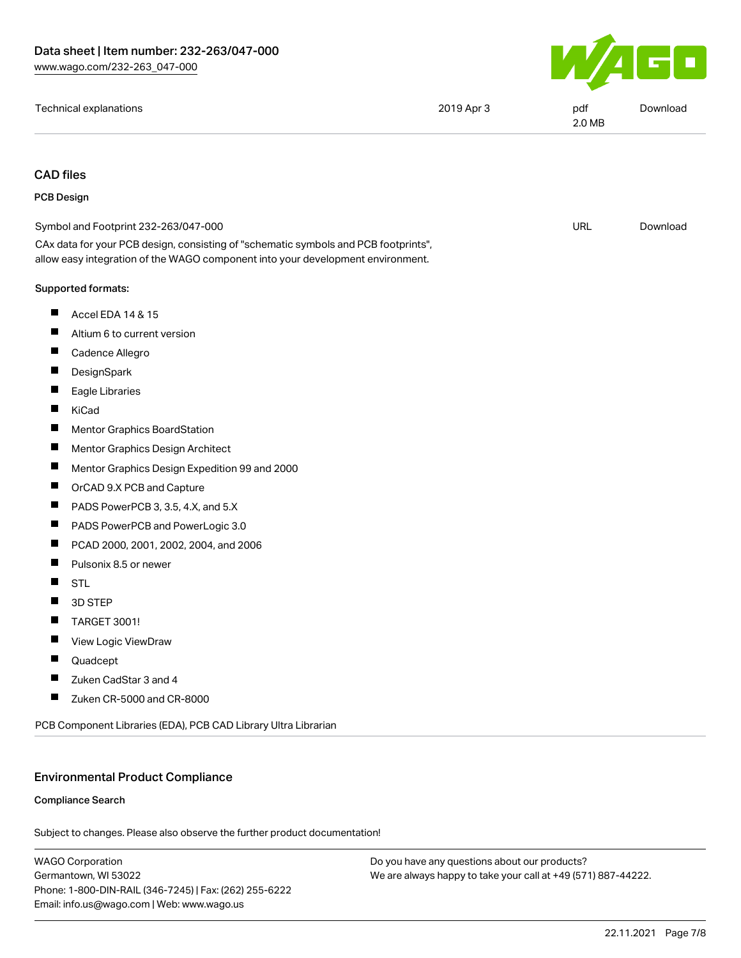

| Technical explanations | 2019 Apr 3 | pdf<br>2.0 MB | Download |
|------------------------|------------|---------------|----------|
|------------------------|------------|---------------|----------|

# CAD files

#### PCB Design

| <b>PCB Design</b> |                                                                                                                                                                        |            |          |
|-------------------|------------------------------------------------------------------------------------------------------------------------------------------------------------------------|------------|----------|
|                   | Symbol and Footprint 232-263/047-000                                                                                                                                   | <b>URL</b> | Download |
|                   | CAx data for your PCB design, consisting of "schematic symbols and PCB footprints",<br>allow easy integration of the WAGO component into your development environment. |            |          |
|                   | Supported formats:                                                                                                                                                     |            |          |
| ш                 | Accel EDA 14 & 15                                                                                                                                                      |            |          |
| ш                 | Altium 6 to current version                                                                                                                                            |            |          |
| Ш                 | Cadence Allegro                                                                                                                                                        |            |          |
| ш                 | DesignSpark                                                                                                                                                            |            |          |
| ш                 | Eagle Libraries                                                                                                                                                        |            |          |
| ш                 | KiCad                                                                                                                                                                  |            |          |
|                   | <b>Mentor Graphics BoardStation</b>                                                                                                                                    |            |          |
| П                 | Mentor Graphics Design Architect                                                                                                                                       |            |          |
| ш                 | Mentor Graphics Design Expedition 99 and 2000                                                                                                                          |            |          |
| Ш                 | OrCAD 9.X PCB and Capture                                                                                                                                              |            |          |
| $\blacksquare$    | PADS PowerPCB 3, 3.5, 4.X, and 5.X                                                                                                                                     |            |          |
| Ш                 | PADS PowerPCB and PowerLogic 3.0                                                                                                                                       |            |          |
| ш                 | PCAD 2000, 2001, 2002, 2004, and 2006                                                                                                                                  |            |          |
| ш                 | Pulsonix 8.5 or newer                                                                                                                                                  |            |          |
| ш                 | <b>STL</b>                                                                                                                                                             |            |          |
|                   | 3D STEP                                                                                                                                                                |            |          |
| Ш                 | <b>TARGET 3001!</b>                                                                                                                                                    |            |          |
|                   | View Logic ViewDraw                                                                                                                                                    |            |          |
| ш                 | Quadcept                                                                                                                                                               |            |          |
| ш                 | Zuken CadStar 3 and 4                                                                                                                                                  |            |          |
| Ш                 | Zuken CR-5000 and CR-8000                                                                                                                                              |            |          |
|                   | PCB Component Libraries (EDA), PCB CAD Library Ultra Librarian                                                                                                         |            |          |
|                   |                                                                                                                                                                        |            |          |

# Environmental Product Compliance

### Compliance Search

Subject to changes. Please also observe the further product documentation!

WAGO Corporation Germantown, WI 53022 Phone: 1-800-DIN-RAIL (346-7245) | Fax: (262) 255-6222 Email: info.us@wago.com | Web: www.wago.us